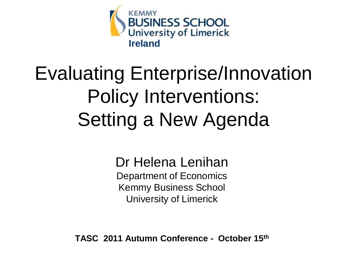

# Evaluating Enterprise/Innovation Policy Interventions: Setting a New Agenda

Dr Helena Lenihan Department of Economics Kemmy Business School University of Limerick

**TASC 2011 Autumn Conference - October 15th**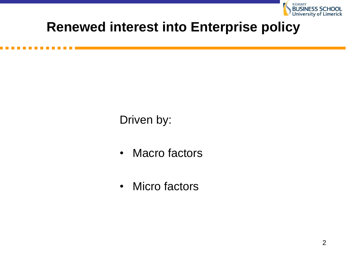

#### **Renewed interest into Enterprise policy**

Driven by:

- Macro factors
- Micro factors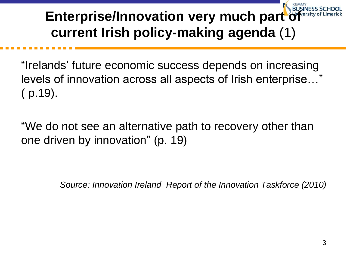### **Enterprise/Innovation very much part current Irish policy-making agenda** (1)

"Irelands' future economic success depends on increasing levels of innovation across all aspects of Irish enterprise…" ( p.19).

"We do not see an alternative path to recovery other than one driven by innovation" (p. 19)

*Source: Innovation Ireland Report of the Innovation Taskforce (2010)*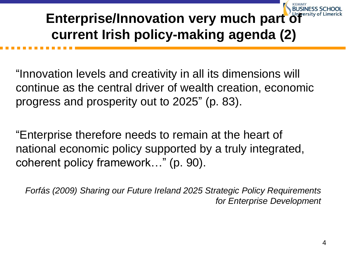### **Enterprise/Innovation very much part of current Irish policy-making agenda (2)**

"Innovation levels and creativity in all its dimensions will continue as the central driver of wealth creation, economic progress and prosperity out to 2025" (p. 83).

"Enterprise therefore needs to remain at the heart of national economic policy supported by a truly integrated, coherent policy framework…" (p. 90).

*Forfás (2009) Sharing our Future Ireland 2025 Strategic Policy Requirements for Enterprise Development*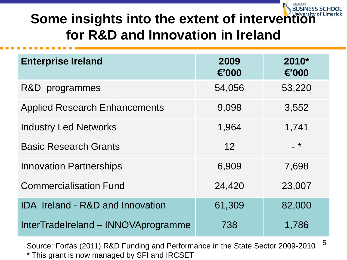### **Some insights into the extent of intervention for R&D and Innovation in Ireland**

| <b>Enterprise Ireland</b>                   | 2009<br>€'000 | 2010*<br>€'000 |
|---------------------------------------------|---------------|----------------|
| R&D programmes                              | 54,056        | 53,220         |
| <b>Applied Research Enhancements</b>        | 9,098         | 3,552          |
| <b>Industry Led Networks</b>                | 1,964         | 1,741          |
| <b>Basic Research Grants</b>                | 12            | $-$ *          |
| <b>Innovation Partnerships</b>              | 6,909         | 7,698          |
| <b>Commercialisation Fund</b>               | 24,420        | 23,007         |
| <b>IDA Ireland - R&amp;D and Innovation</b> | 61,309        | 82,000         |
| InterTradeIreland - INNOVAprogramme         | 738           | 1,786          |

Source: Forfás (2011) R&D Funding and Performance in the State Sector 2009-2010 <sup>5</sup> \* This grant is now managed by SFI and IRCSET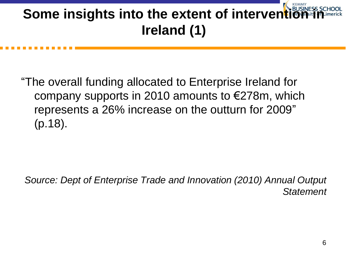### **Some insights into the extent of intervent Ireland (1)**

"The overall funding allocated to Enterprise Ireland for company supports in 2010 amounts to €278m, which represents a 26% increase on the outturn for 2009" (p.18).

*Source: Dept of Enterprise Trade and Innovation (2010) Annual Output Statement*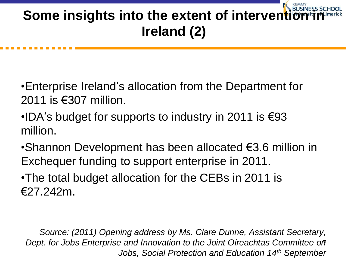### **Some insights into the extent of intervent Ireland (2)**

- •Enterprise Ireland's allocation from the Department for 2011 is €307 million.
- •IDA's budget for supports to industry in 2011 is €93 million.
- •Shannon Development has been allocated €3.6 million in Exchequer funding to support enterprise in 2011.
- •The total budget allocation for the CEBs in 2011 is €27.242m.

*Source: (2011) Opening address by Ms. Clare Dunne, Assistant Secretary,*  Dept. for Jobs Enterprise and Innovation to the Joint Oireachtas Committee om *Jobs, Social Protection and Education 14th September*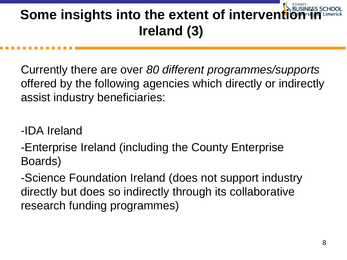### **Some insights into the extent of intervent Ireland (3)**

Currently there are over *80 different programmes/supports* offered by the following agencies which directly or indirectly assist industry beneficiaries:

-IDA Ireland

-Enterprise Ireland (including the County Enterprise Boards)

-Science Foundation Ireland (does not support industry directly but does so indirectly through its collaborative research funding programmes)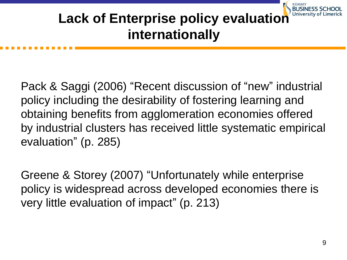### **Lack of Enterprise policy evaluation internationally**

Pack & Saggi (2006) "Recent discussion of "new" industrial policy including the desirability of fostering learning and obtaining benefits from agglomeration economies offered by industrial clusters has received little systematic empirical evaluation" (p. 285)

Greene & Storey (2007) "Unfortunately while enterprise policy is widespread across developed economies there is very little evaluation of impact" (p. 213)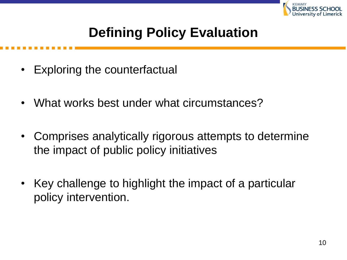

#### **Defining Policy Evaluation**

- Exploring the counterfactual
- What works best under what circumstances?
- Comprises analytically rigorous attempts to determine the impact of public policy initiatives
- Key challenge to highlight the impact of a particular policy intervention.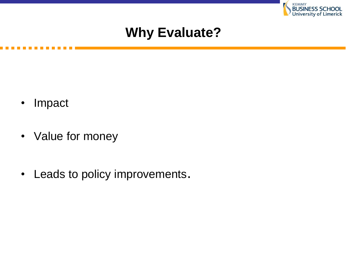

#### **Why Evaluate?**

- Impact
- Value for money
- Leads to policy improvements.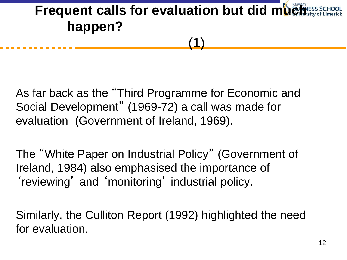### **Frequent calls for evaluation but did much and the Set of Second Form Explorers happen?** (1)

As far back as the "Third Programme for Economic and Social Development" (1969-72) a call was made for evaluation (Government of Ireland, 1969).

The "White Paper on Industrial Policy" (Government of Ireland, 1984) also emphasised the importance of 'reviewing' and 'monitoring' industrial policy.

Similarly, the Culliton Report (1992) highlighted the need for evaluation.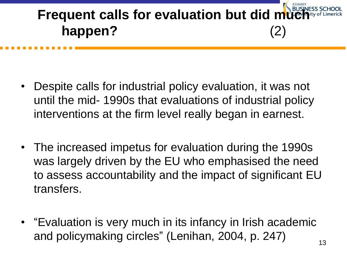# **Frequent calls for evaluation but did m happen?** (2)

- Despite calls for industrial policy evaluation, it was not until the mid- 1990s that evaluations of industrial policy interventions at the firm level really began in earnest.
- The increased impetus for evaluation during the 1990s was largely driven by the EU who emphasised the need to assess accountability and the impact of significant EU transfers.
- "Evaluation is very much in its infancy in Irish academic and policymaking circles" (Lenihan, 2004, p. 247)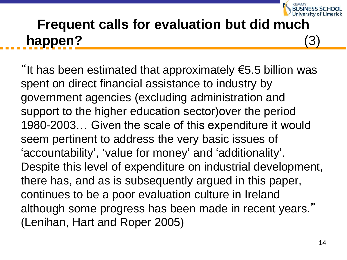

### **Frequent calls for evaluation but did much happen?** (3)

"It has been estimated that approximately €5.5 billion was spent on direct financial assistance to industry by government agencies (excluding administration and support to the higher education sector)over the period 1980-2003… Given the scale of this expenditure it would seem pertinent to address the very basic issues of 'accountability' , 'value for money' and 'additionality'. Despite this level of expenditure on industrial development, there has, and as is subsequently argued in this paper, continues to be a poor evaluation culture in Ireland although some progress has been made in recent years." (Lenihan, Hart and Roper 2005)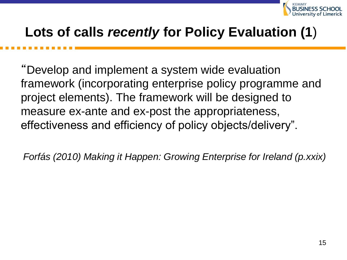

#### **Lots of calls** *recently* **for Policy Evaluation (1**)

"Develop and implement a system wide evaluation framework (incorporating enterprise policy programme and project elements). The framework will be designed to measure ex-ante and ex-post the appropriateness, effectiveness and efficiency of policy objects/delivery".

*Forfás (2010) Making it Happen: Growing Enterprise for Ireland (p.xxix)*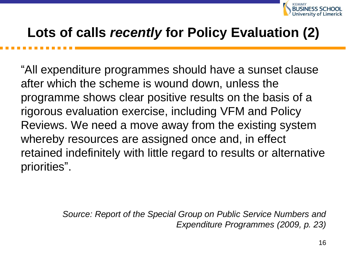

#### **Lots of calls** *recently* **for Policy Evaluation (2)**

"All expenditure programmes should have a sunset clause after which the scheme is wound down, unless the programme shows clear positive results on the basis of a rigorous evaluation exercise, including VFM and Policy Reviews. We need a move away from the existing system whereby resources are assigned once and, in effect retained indefinitely with little regard to results or alternative priorities".

> *Source: Report of the Special Group on Public Service Numbers and Expenditure Programmes (2009, p. 23)*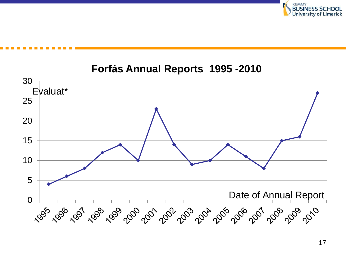

#### **Forfás Annual Reports 1995 -2010**

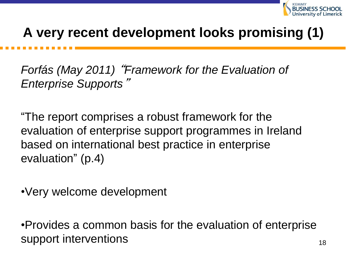

#### **A very recent development looks promising (1)**

*Forfás (May 2011)* "*Framework for the Evaluation of Enterprise Supports*"

"The report comprises a robust framework for the evaluation of enterprise support programmes in Ireland based on international best practice in enterprise evaluation" (p.4)

•Very welcome development

•Provides a common basis for the evaluation of enterprise support interventions and the support interventions of the support  $\frac{18}{18}$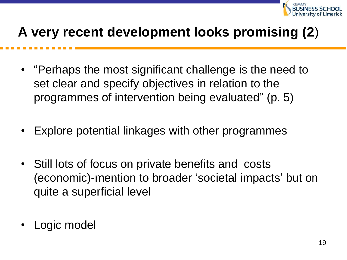

#### **A very recent development looks promising (2**)

- "Perhaps the most significant challenge is the need to set clear and specify objectives in relation to the programmes of intervention being evaluated" (p. 5)
- Explore potential linkages with other programmes
- Still lots of focus on private benefits and costs (economic)-mention to broader 'societal impacts' but on quite a superficial level
- Logic model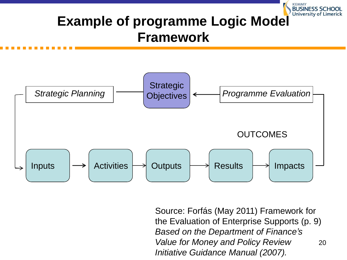### **Example of programme Logic Model** University of Limerick **Framework**



20 Source: Forfás (May 2011) Framework for the Evaluation of Enterprise Supports (p. 9) *Based on the Department of Finance's Value for Money and Policy Review Initiative Guidance Manual (2007).*

**KEMMY**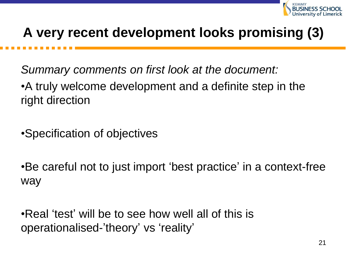

#### **A very recent development looks promising (3)**

*Summary comments on first look at the document:*

•A truly welcome development and a definite step in the right direction

•Specification of objectives

•Be careful not to just import 'best practice' in a context-free way

•Real 'test' will be to see how well all of this is operationalised-'theory' vs 'reality'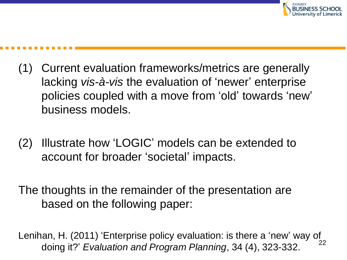

- (1) Current evaluation frameworks/metrics are generally lacking *vis-à-vis* the evaluation of 'newer' enterprise policies coupled with a move from 'old' towards 'new' business models.
- (2) Illustrate how 'LOGIC' models can be extended to account for broader 'societal' impacts.

The thoughts in the remainder of the presentation are based on the following paper:

22 Lenihan, H. (2011) 'Enterprise policy evaluation: is there a 'new' way of doing it?' *Evaluation and Program Planning*, 34 (4), 323-332.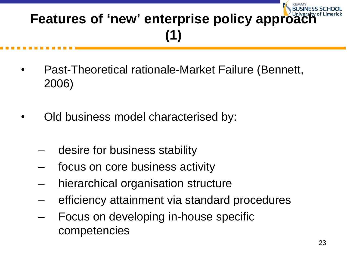## **Features of 'new' enterprise policy approach (1)**

- Past-Theoretical rationale-Market Failure (Bennett, 2006)
- Old business model characterised by:
	- desire for business stability
	- focus on core business activity
	- hierarchical organisation structure
	- efficiency attainment via standard procedures
	- Focus on developing in-house specific competencies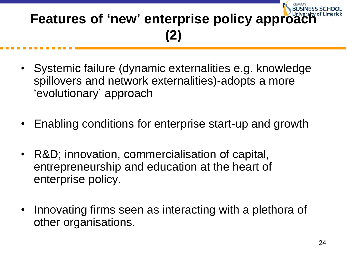## **Features of 'new' enterprise policy approach (2)**

- Systemic failure (dynamic externalities e.g. knowledge spillovers and network externalities)-adopts a more 'evolutionary' approach
- Enabling conditions for enterprise start-up and growth
- R&D; innovation, commercialisation of capital, entrepreneurship and education at the heart of enterprise policy.
- Innovating firms seen as interacting with a plethora of other organisations.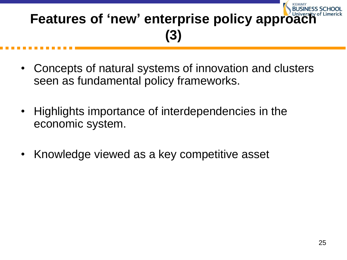### **Features of 'new' enterprise policy approach (3)**

- Concepts of natural systems of innovation and clusters seen as fundamental policy frameworks.
- Highlights importance of interdependencies in the economic system.
- Knowledge viewed as a key competitive asset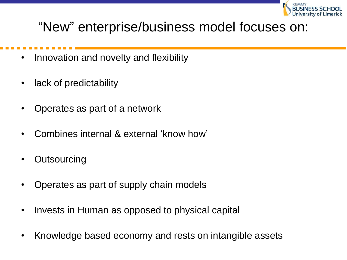

#### "New" enterprise/business model focuses on:

- Innovation and novelty and flexibility
- lack of predictability
- Operates as part of a network
- Combines internal & external 'know how'
- **Outsourcing**
- Operates as part of supply chain models
- Invests in Human as opposed to physical capital
- Knowledge based economy and rests on intangible assets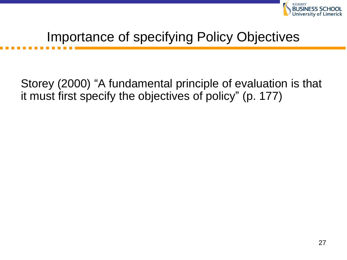

#### Importance of specifying Policy Objectives

Storey (2000) "A fundamental principle of evaluation is that it must first specify the objectives of policy" (p. 177)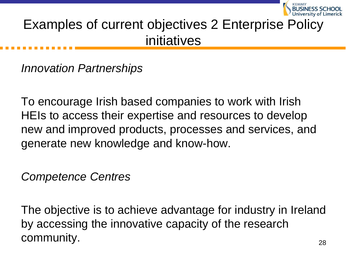

#### Examples of current objectives 2 Enterprise Policy initiatives

*Innovation Partnerships*

To encourage Irish based companies to work with Irish HEIs to access their expertise and resources to develop new and improved products, processes and services, and generate new knowledge and know-how.

*Competence Centres*

The objective is to achieve advantage for industry in Ireland by accessing the innovative capacity of the research community.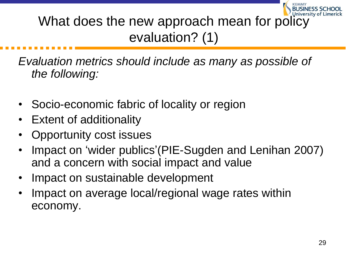What does the new approach mean for policy evaluation? (1)

*Evaluation metrics should include as many as possible of the following:*

- Socio-economic fabric of locality or region
- Extent of additionality
- Opportunity cost issues
- Impact on 'wider publics'(PIE-Sugden and Lenihan 2007) and a concern with social impact and value
- Impact on sustainable development
- Impact on average local/regional wage rates within economy.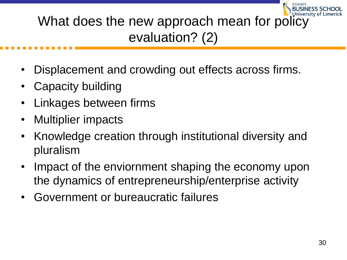### What does the new approach mean for policy evaluation? (2)

- Displacement and crowding out effects across firms.
- Capacity building
- Linkages between firms
- Multiplier impacts
- Knowledge creation through institutional diversity and pluralism
- Impact of the enviornment shaping the economy upon the dynamics of entrepreneurship/enterprise activity
- Government or bureaucratic failures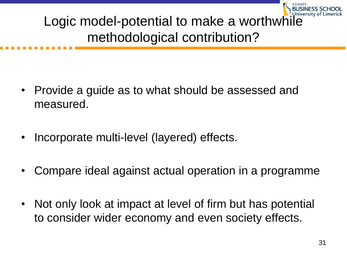Logic model-potential to make a worthwhile methodological contribution?

- Provide a guide as to what should be assessed and measured.
- Incorporate multi-level (layered) effects.
- Compare ideal against actual operation in a programme
- Not only look at impact at level of firm but has potential to consider wider economy and even society effects.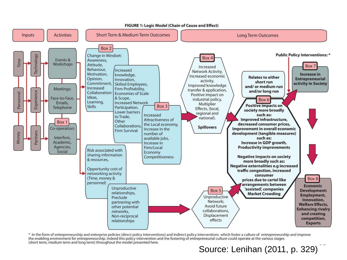

FIGURE 1: Logic Model (Chain of Cause and Effect)

\* In the form of entrepreneurship and enterprise policies (direct policy interventions) and indirect policy interventions which foster a culture of entrepreneurship and improve the enabling environment for entrepreneurship. Indeed this policy intervention and the fostering of entrepreneurial culture could operate at the various stages (short term, medium term and long term) throughout the model presented here.

 $\overline{\phantom{a}}$ Source: Lenihan (2011, p. 329)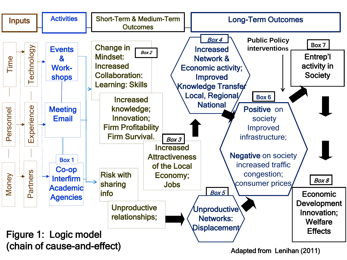

Adapted from Lenihan (2011)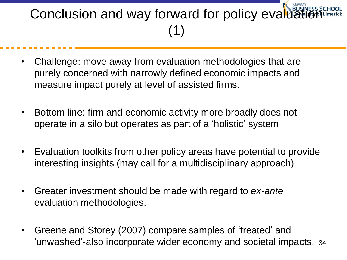### Conclusion and way forward for policy evaluation (1)

- Challenge: move away from evaluation methodologies that are purely concerned with narrowly defined economic impacts and measure impact purely at level of assisted firms.
- Bottom line: firm and economic activity more broadly does not operate in a silo but operates as part of a 'holistic' system
- Evaluation toolkits from other policy areas have potential to provide interesting insights (may call for a multidisciplinary approach)
- Greater investment should be made with regard to *ex-ante*  evaluation methodologies.
- 'unwashed'-also incorporate wider economy and societal impacts. 34 • Greene and Storey (2007) compare samples of 'treated' and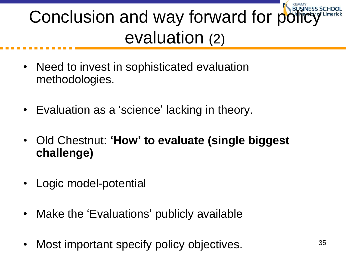# Conclusion and way forward for po evaluation (2)

- Need to invest in sophisticated evaluation methodologies.
- Evaluation as a 'science' lacking in theory.
- Old Chestnut: **'How' to evaluate (single biggest challenge)**
- Logic model-potential
- Make the 'Evaluations' publicly available
- Most important specify policy objectives.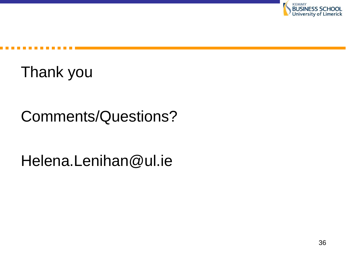

Thank you

### Comments/Questions?

Helena.Lenihan@ul.ie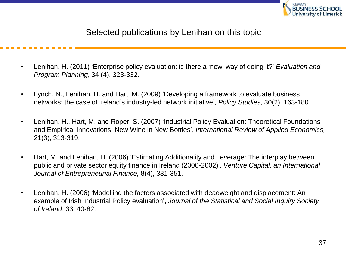

Selected publications by Lenihan on this topic

- Lenihan, H. (2011) 'Enterprise policy evaluation: is there a 'new' way of doing it?' *Evaluation and Program Planning*, 34 (4), 323-332.
- Lynch, N., Lenihan, H. and Hart, M. (2009) 'Developing a framework to evaluate business networks: the case of Ireland's industry-led network initiative', *Policy Studies,* 30(2), 163-180.
- Lenihan, H., Hart, M. and Roper, S. (2007) 'Industrial Policy Evaluation: Theoretical Foundations and Empirical Innovations: New Wine in New Bottles', *International Review of Applied Economics,*  21(3), 313-319.
- Hart, M. and Lenihan, H. (2006) 'Estimating Additionality and Leverage: The interplay between public and private sector equity finance in Ireland (2000-2002)', *Venture Capital: an International Journal of Entrepreneurial Finance,* 8(4), 331-351.
- Lenihan, H. (2006) 'Modelling the factors associated with deadweight and displacement: An example of Irish Industrial Policy evaluation', *Journal of the Statistical and Social Inquiry Society of Ireland*, 33, 40-82.